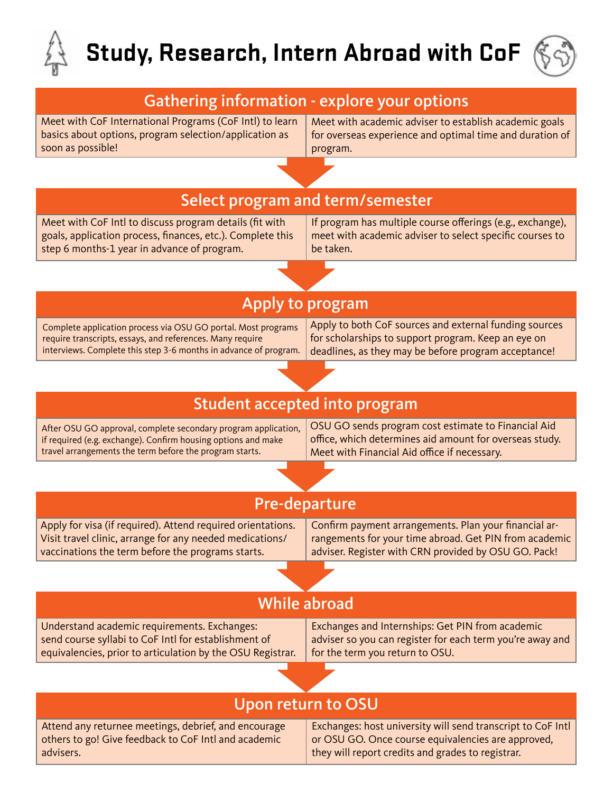

# **Study, Research, Intern Abroad with CoF**



#### Meet with CoF International Programs (CoF Intl) to learn basics about options, program selection/application as soon as possible! Meet with academic adviser to establish academic goals for overseas experience and optimal time and duration of program. Meet with CoF Intl to discuss program details (fit with goals, application process, finances, etc.). Complete this step 6 months-1 year in advance of program. If program has multiple course offerings (e.g., exchange), meet with academic adviser to select specific courses to be taken. Select program and term/semester Complete application process via OSU GO portal. Most programs require transcripts, essays, and references. Many require interviews. Complete this step 3-6 months in advance of program. Apply to both CoF sources and external funding sources for scholarships to support program. Keep an eye on deadlines, as they may be before program acceptance! Apply to program After OSU GO approval, complete secondary program application, if required (e.g. exchange). Confirm housing options and make travel arrangements the term before the program starts. OSU GO sends program cost estimate to Financial Aid office, which determines aid amount for overseas study. Meet with Financial Aid office if necessary. Student accepted into program Apply for visa (if required). Attend required orientations. Visit travel clinic, arrange for any needed medications/ vaccinations the term before the programs starts. Confirm payment arrangements. Plan your financial arrangements for your time abroad. Get PIN from academic adviser. Register with CRN provided by OSU GO. Pack! Pre-departure Understand academic requirements. Exchanges: send course syllabi to CoF Intl for establishment of equivalencies, prior to articulation by the OSU Registrar. Exchanges and Internships: Get PIN from academic adviser so you can register for each term you're away and for the term you return to OSU. While abroad Attend any returnee meetings, debrief, and encourage others to go! Give feedback to CoF Intl and academic advisers. Exchanges: host university will send transcript to CoF Intl or OSU GO. Once course equivalencies are approved, they will report credits and grades to registrar. Upon return to OSU Gathering information - explore your options